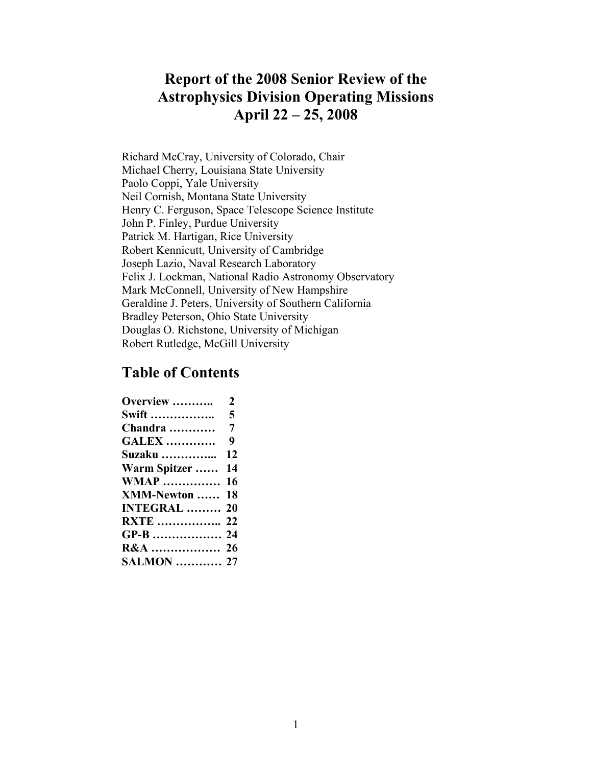## **Astrophysics Division Operating Missions Report of the 2008 Senior Review of the April 22 – 25, 2008**

Richard McCray, University of Colorado, Chair Michael Cherry, Louisiana State University Paolo Coppi, Yale University Neil Cornish, Montana State University Henry C. Ferguson, Space Telescope Science Institute John P. Finley, Purdue University Patrick M. Hartigan, Rice University Robert Kennicutt, University of Cambridge Joseph Lazio, Naval Research Laboratory Felix J. Lockman, National Radio Astronomy Observatory Mark McConnell, University of New Hampshire Geraldine J. Peters, University of Southern California Bradley Peterson, Ohio State University Douglas O. Richstone, University of Michigan Robert Rutledge, McGill University

## **Table of Contents**

| <b>Overview </b>    | $\overline{2}$ |
|---------------------|----------------|
|                     |                |
| <b>Chandra </b>     | $\overline{7}$ |
| <b>GALEX </b>       | 9              |
| <b>Suzaku </b>      | 12             |
| Warm Spitzer        | 14             |
| <b>WMAP</b>         | 16             |
| <b>XMM-Newton </b>  | 18             |
| <b>INTEGRAL  20</b> |                |
| <b>RXTE</b> 22      |                |
| GP-B  24            |                |
| R&A  26             |                |
| <b>SALMON</b> 27    |                |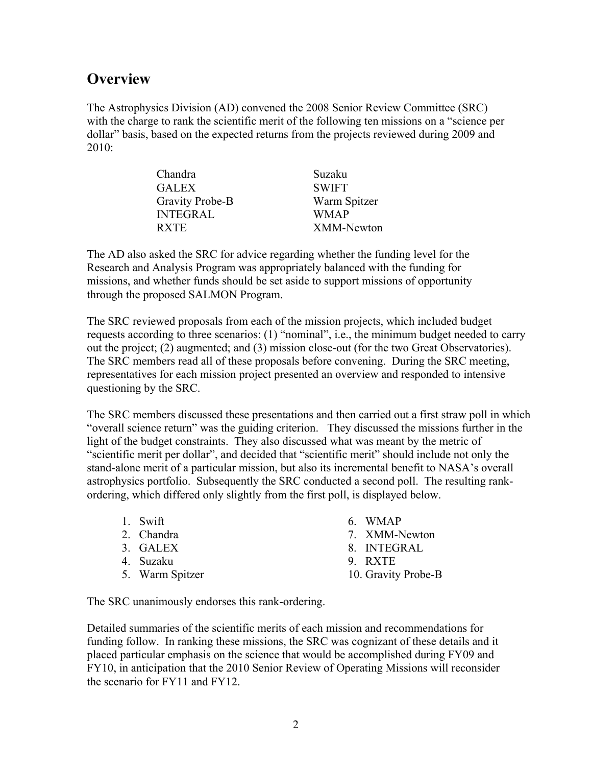## <span id="page-1-0"></span>**Overview**

The Astrophysics Division (AD) convened the 2008 Senior Review Committee (SRC) with the charge to rank the scientific merit of the following ten missions on a "science per dollar" basis, based on the expected returns from the projects reviewed during 2009 and 2010:

| Chandra         | Suzaku       |
|-----------------|--------------|
| <b>GALEX</b>    | <b>SWIFT</b> |
| Gravity Probe-B | Warm Spitzer |
| <b>INTEGRAL</b> | <b>WMAP</b>  |
| <b>RXTE</b>     | XMM-Newton   |

The AD also asked the SRC for advice regarding whether the funding level for the Research and Analysis Program was appropriately balanced with the funding for missions, and whether funds should be set aside to support missions of opportunity through the proposed SALMON Program.

The SRC reviewed proposals from each of the mission projects, which included budget requests according to three scenarios: (1) "nominal", i.e., the minimum budget needed to carry out the project; (2) augmented; and (3) mission close-out (for the two Great Observatories). The SRC members read all of these proposals before convening. During the SRC meeting, representatives for each mission project presented an overview and responded to intensive questioning by the SRC.

The SRC members discussed these presentations and then carried out a first straw poll in which "overall science return" was the guiding criterion. They discussed the missions further in the light of the budget constraints. They also discussed what was meant by the metric of "scientific merit per dollar", and decided that "scientific merit" should include not only the stand-alone merit of a particular mission, but also its incremental benefit to NASA's overall astrophysics portfolio. Subsequently the SRC conducted a second poll. The resulting rankordering, which differed only slightly from the first poll, is displayed below.

- 
- 
- 
- 
- 
- 1. Swift 6. WMAP
- 2. Chandra 7. XMM-Newton
- 3. GALEX 8. INTEGRAL
- 4. Suzaku 9. RXTE
- 5. Warm Spitzer 10. Gravity Probe-B

The SRC unanimously endorses this rank-ordering.

Detailed summaries of the scientific merits of each mission and recommendations for funding follow. In ranking these missions, the SRC was cognizant of these details and it placed particular emphasis on the science that would be accomplished during FY09 and FY10, in anticipation that the 2010 Senior Review of Operating Missions will reconsider the scenario for FY11 and FY12.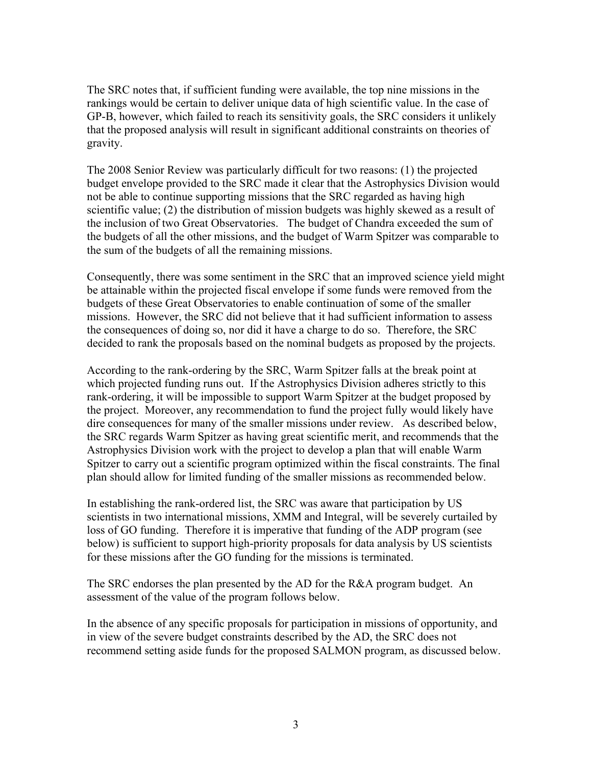The SRC notes that, if sufficient funding were available, the top nine missions in the rankings would be certain to deliver unique data of high scientific value. In the case of GP-B, however, which failed to reach its sensitivity goals, the SRC considers it unlikely that the proposed analysis will result in significant additional constraints on theories of gravity.

The 2008 Senior Review was particularly difficult for two reasons: (1) the projected budget envelope provided to the SRC made it clear that the Astrophysics Division would not be able to continue supporting missions that the SRC regarded as having high scientific value; (2) the distribution of mission budgets was highly skewed as a result of the inclusion of two Great Observatories. The budget of Chandra exceeded the sum of the budgets of all the other missions, and the budget of Warm Spitzer was comparable to the sum of the budgets of all the remaining missions.

Consequently, there was some sentiment in the SRC that an improved science yield might be attainable within the projected fiscal envelope if some funds were removed from the budgets of these Great Observatories to enable continuation of some of the smaller missions. However, the SRC did not believe that it had sufficient information to assess the consequences of doing so, nor did it have a charge to do so. Therefore, the SRC decided to rank the proposals based on the nominal budgets as proposed by the projects.

According to the rank-ordering by the SRC, Warm Spitzer falls at the break point at which projected funding runs out. If the Astrophysics Division adheres strictly to this rank-ordering, it will be impossible to support Warm Spitzer at the budget proposed by the project. Moreover, any recommendation to fund the project fully would likely have dire consequences for many of the smaller missions under review. As described below, the SRC regards Warm Spitzer as having great scientific merit, and recommends that the Astrophysics Division work with the project to develop a plan that will enable Warm Spitzer to carry out a scientific program optimized within the fiscal constraints. The final plan should allow for limited funding of the smaller missions as recommended below.

In establishing the rank-ordered list, the SRC was aware that participation by US scientists in two international missions, XMM and Integral, will be severely curtailed by loss of GO funding. Therefore it is imperative that funding of the ADP program (see below) is sufficient to support high-priority proposals for data analysis by US scientists for these missions after the GO funding for the missions is terminated.

The SRC endorses the plan presented by the AD for the R&A program budget. An assessment of the value of the program follows below.

In the absence of any specific proposals for participation in missions of opportunity, and in view of the severe budget constraints described by the AD, the SRC does not recommend setting aside funds for the proposed SALMON program, as discussed below.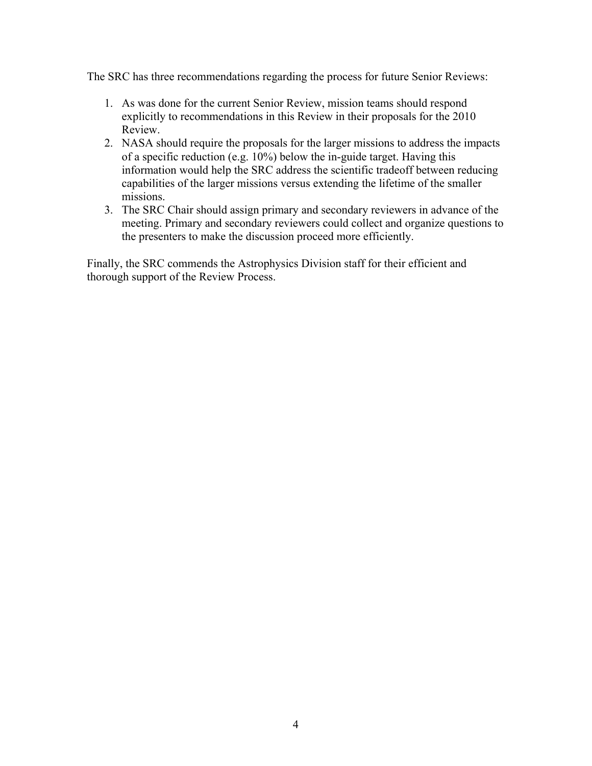The SRC has three recommendations regarding the process for future Senior Reviews:

- 1. As was done for the current Senior Review, mission teams should respond explicitly to recommendations in this Review in their proposals for the 2010 Review.
- 2. NASA should require the proposals for the larger missions to address the impacts of a specific reduction (e.g. 10%) below the in-guide target. Having this information would help the SRC address the scientific tradeoff between reducing capabilities of the larger missions versus extending the lifetime of the smaller missions.
- 3. The SRC Chair should assign primary and secondary reviewers in advance of the meeting. Primary and secondary reviewers could collect and organize questions to the presenters to make the discussion proceed more efficiently.

Finally, the SRC commends the Astrophysics Division staff for their efficient and thorough support of the Review Process.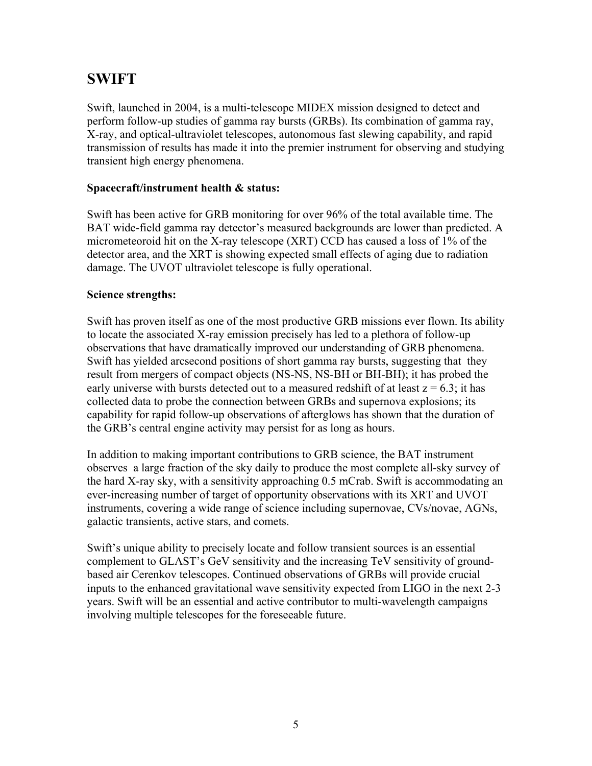# <span id="page-4-0"></span>**SWIFT**

Swift, launched in 2004, is a multi-telescope MIDEX mission designed to detect and perform follow-up studies of gamma ray bursts (GRBs). Its combination of gamma ray, X-ray, and optical-ultraviolet telescopes, autonomous fast slewing capability, and rapid transmission of results has made it into the premier instrument for observing and studying transient high energy phenomena.

### **Spacecraft/instrument health & status:**

Swift has been active for GRB monitoring for over 96% of the total available time. The BAT wide-field gamma ray detector's measured backgrounds are lower than predicted. A micrometeoroid hit on the X-ray telescope (XRT) CCD has caused a loss of 1% of the detector area, and the XRT is showing expected small effects of aging due to radiation damage. The UVOT ultraviolet telescope is fully operational.

#### **Science strengths:**

Swift has proven itself as one of the most productive GRB missions ever flown. Its ability to locate the associated X-ray emission precisely has led to a plethora of follow-up observations that have dramatically improved our understanding of GRB phenomena. Swift has yielded arcsecond positions of short gamma ray bursts, suggesting that they result from mergers of compact objects (NS-NS, NS-BH or BH-BH); it has probed the early universe with bursts detected out to a measured redshift of at least  $z = 6.3$ ; it has collected data to probe the connection between GRBs and supernova explosions; its capability for rapid follow-up observations of afterglows has shown that the duration of the GRB's central engine activity may persist for as long as hours.

In addition to making important contributions to GRB science, the BAT instrument observes a large fraction of the sky daily to produce the most complete all-sky survey of the hard X-ray sky, with a sensitivity approaching 0.5 mCrab. Swift is accommodating an ever-increasing number of target of opportunity observations with its XRT and UVOT instruments, covering a wide range of science including supernovae, CVs/novae, AGNs, galactic transients, active stars, and comets.

Swift's unique ability to precisely locate and follow transient sources is an essential complement to GLAST's GeV sensitivity and the increasing TeV sensitivity of groundbased air Cerenkov telescopes. Continued observations of GRBs will provide crucial inputs to the enhanced gravitational wave sensitivity expected from LIGO in the next 2-3 years. Swift will be an essential and active contributor to multi-wavelength campaigns involving multiple telescopes for the foreseeable future.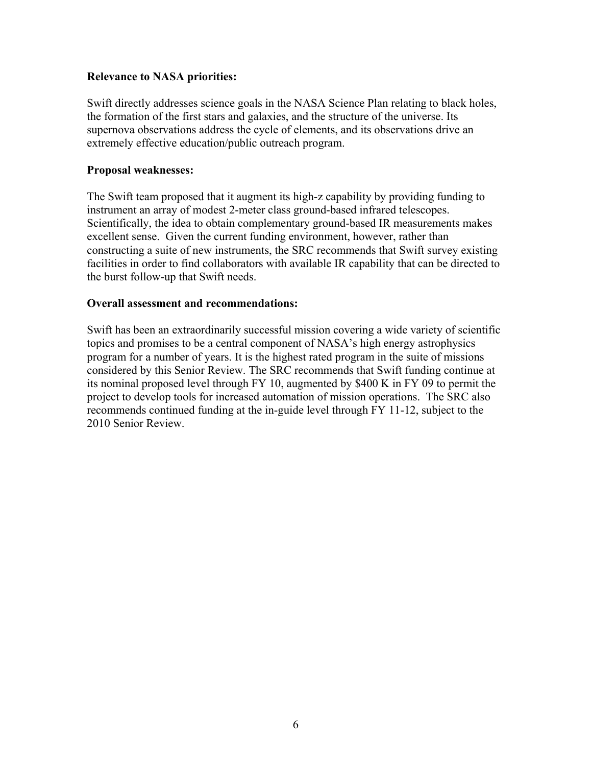#### **Relevance to NASA priorities:**

Swift directly addresses science goals in the NASA Science Plan relating to black holes, the formation of the first stars and galaxies, and the structure of the universe. Its supernova observations address the cycle of elements, and its observations drive an extremely effective education/public outreach program.

#### **Proposal weaknesses:**

The Swift team proposed that it augment its high-z capability by providing funding to instrument an array of modest 2-meter class ground-based infrared telescopes. Scientifically, the idea to obtain complementary ground-based IR measurements makes excellent sense. Given the current funding environment, however, rather than constructing a suite of new instruments, the SRC recommends that Swift survey existing facilities in order to find collaborators with available IR capability that can be directed to the burst follow-up that Swift needs.

#### **Overall assessment and recommendations:**

Swift has been an extraordinarily successful mission covering a wide variety of scientific topics and promises to be a central component of NASA's high energy astrophysics program for a number of years. It is the highest rated program in the suite of missions considered by this Senior Review. The SRC recommends that Swift funding continue at its nominal proposed level through FY 10, augmented by \$400 K in FY 09 to permit the project to develop tools for increased automation of mission operations. The SRC also recommends continued funding at the in-guide level through FY 11-12, subject to the 2010 Senior Review.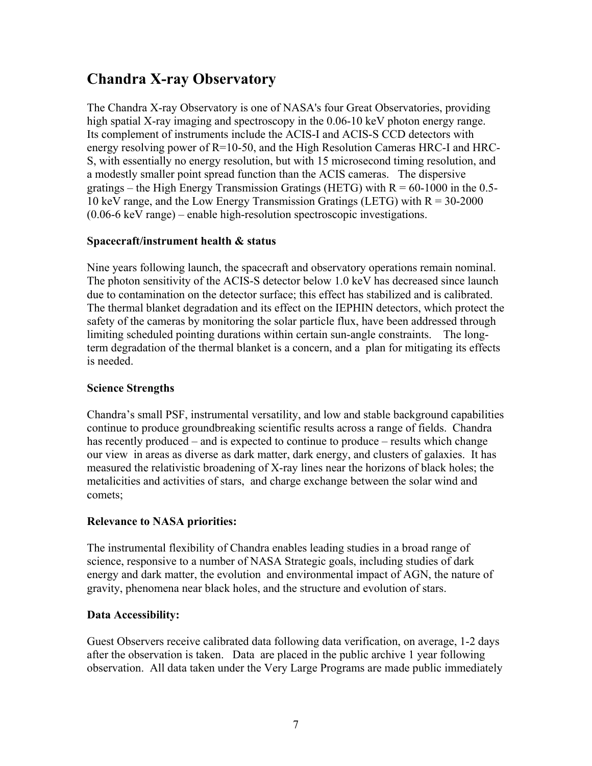# <span id="page-6-0"></span>**Chandra X-ray Observatory**

The Chandra X-ray Observatory is one of NASA's four Great Observatories, providing high spatial X-ray imaging and spectroscopy in the 0.06-10 keV photon energy range. Its complement of instruments include the ACIS-I and ACIS-S CCD detectors with energy resolving power of R=10-50, and the High Resolution Cameras HRC-I and HRC-S, with essentially no energy resolution, but with 15 microsecond timing resolution, and a modestly smaller point spread function than the ACIS cameras. The dispersive gratings – the High Energy Transmission Gratings (HETG) with  $R = 60-1000$  in the 0.5-10 keV range, and the Low Energy Transmission Gratings (LETG) with  $R = 30-2000$ (0.06-6 keV range) – enable high-resolution spectroscopic investigations.

### **Spacecraft/instrument health & status**

 limiting scheduled pointing durations within certain sun-angle constraints. The longdue to contamination on the detector surface; this effect has stabilized and is calibrated. Nine years following launch, the spacecraft and observatory operations remain nominal. The photon sensitivity of the ACIS-S detector below 1.0 keV has decreased since launch The thermal blanket degradation and its effect on the IEPHIN detectors, which protect the safety of the cameras by monitoring the solar particle flux, have been addressed through term degradation of the thermal blanket is a concern, and a plan for mitigating its effects is needed.

#### **Science Strengths**

Chandra's small PSF, instrumental versatility, and low and stable background capabilities continue to produce groundbreaking scientific results across a range of fields. Chandra has recently produced – and is expected to continue to produce – results which change our view in areas as diverse as dark matter, dark energy, and clusters of galaxies. It has measured the relativistic broadening of X-ray lines near the horizons of black holes; the metalicities and activities of stars, and charge exchange between the solar wind and comets;

## **Relevance to NASA priorities:**

The instrumental flexibility of Chandra enables leading studies in a broad range of science, responsive to a number of NASA Strategic goals, including studies of dark energy and dark matter, the evolution and environmental impact of AGN, the nature of gravity, phenomena near black holes, and the structure and evolution of stars.

#### **Data Accessibility:**

Guest Observers receive calibrated data following data verification, on average, 1-2 days after the observation is taken. Data are placed in the public archive 1 year following observation. All data taken under the Very Large Programs are made public immediately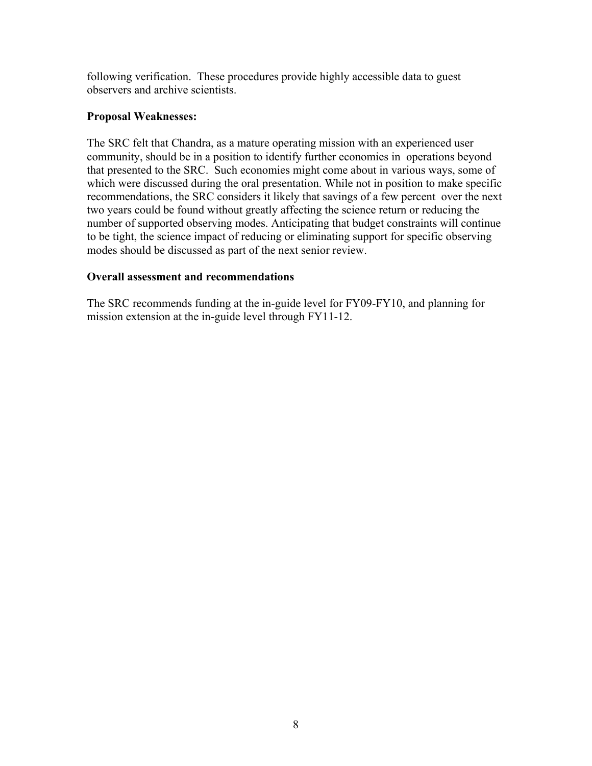following verification. These procedures provide highly accessible data to guest observers and archive scientists.

#### **Proposal Weaknesses:**

The SRC felt that Chandra, as a mature operating mission with an experienced user community, should be in a position to identify further economies in operations beyond that presented to the SRC. Such economies might come about in various ways, some of which were discussed during the oral presentation. While not in position to make specific recommendations, the SRC considers it likely that savings of a few percent over the next two years could be found without greatly affecting the science return or reducing the number of supported observing modes. Anticipating that budget constraints will continue to be tight, the science impact of reducing or eliminating support for specific observing modes should be discussed as part of the next senior review.

#### **Overall assessment and recommendations**

The SRC recommends funding at the in-guide level for FY09-FY10, and planning for mission extension at the in-guide level through FY11-12.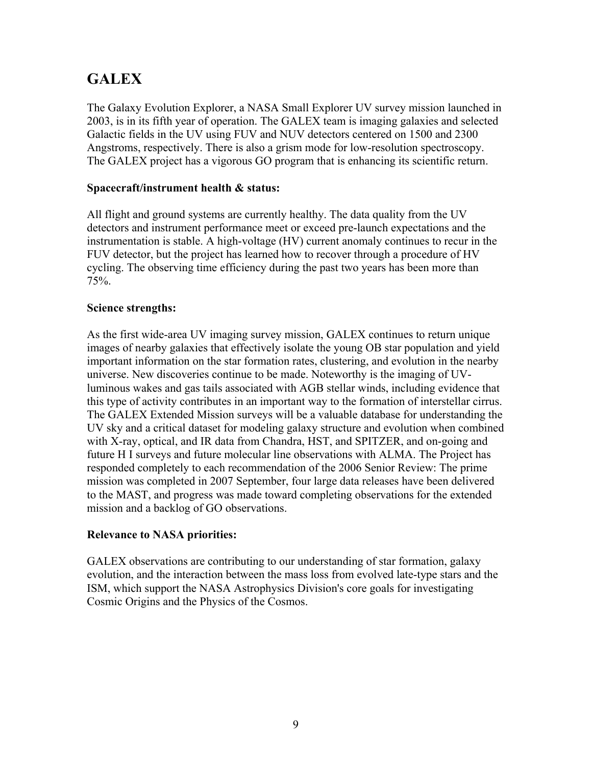# <span id="page-8-0"></span>**GALEX**

The Galaxy Evolution Explorer, a NASA Small Explorer UV survey mission launched in 2003, is in its fifth year of operation. The GALEX team is imaging galaxies and selected Galactic fields in the UV using FUV and NUV detectors centered on 1500 and 2300 Angstroms, respectively. There is also a grism mode for low-resolution spectroscopy. The GALEX project has a vigorous GO program that is enhancing its scientific return.

### **Spacecraft/instrument health & status:**

All flight and ground systems are currently healthy. The data quality from the UV detectors and instrument performance meet or exceed pre-launch expectations and the instrumentation is stable. A high-voltage (HV) current anomaly continues to recur in the FUV detector, but the project has learned how to recover through a procedure of HV cycling. The observing time efficiency during the past two years has been more than 75%.

#### **Science strengths:**

As the first wide-area UV imaging survey mission, GALEX continues to return unique images of nearby galaxies that effectively isolate the young OB star population and yield important information on the star formation rates, clustering, and evolution in the nearby universe. New discoveries continue to be made. Noteworthy is the imaging of UVluminous wakes and gas tails associated with AGB stellar winds, including evidence that this type of activity contributes in an important way to the formation of interstellar cirrus. The GALEX Extended Mission surveys will be a valuable database for understanding the UV sky and a critical dataset for modeling galaxy structure and evolution when combined with X-ray, optical, and IR data from Chandra, HST, and SPITZER, and on-going and future H I surveys and future molecular line observations with ALMA. The Project has responded completely to each recommendation of the 2006 Senior Review: The prime mission was completed in 2007 September, four large data releases have been delivered to the MAST, and progress was made toward completing observations for the extended mission and a backlog of GO observations.

#### **Relevance to NASA priorities:**

GALEX observations are contributing to our understanding of star formation, galaxy evolution, and the interaction between the mass loss from evolved late-type stars and the ISM, which support the NASA Astrophysics Division's core goals for investigating Cosmic Origins and the Physics of the Cosmos.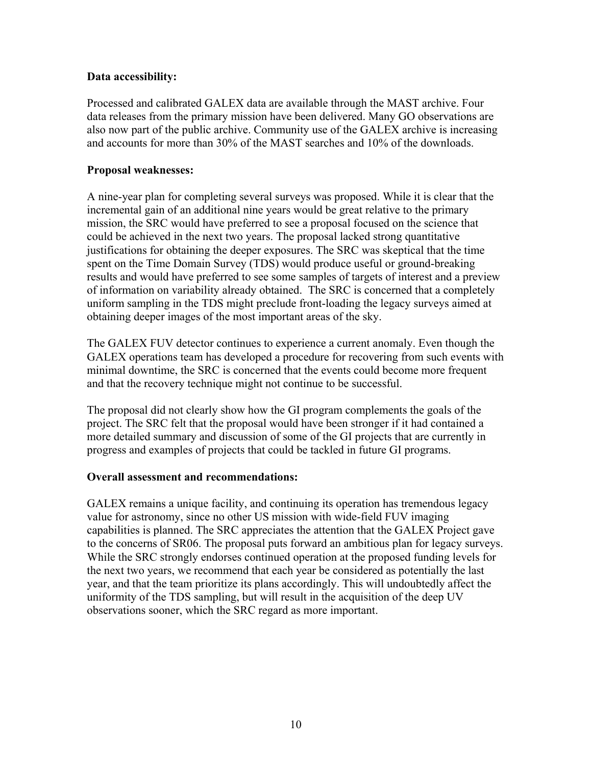#### **Data accessibility:**

Processed and calibrated GALEX data are available through the MAST archive. Four data releases from the primary mission have been delivered. Many GO observations are also now part of the public archive. Community use of the GALEX archive is increasing and accounts for more than 30% of the MAST searches and 10% of the downloads.

#### **Proposal weaknesses:**

A nine-year plan for completing several surveys was proposed. While it is clear that the incremental gain of an additional nine years would be great relative to the primary mission, the SRC would have preferred to see a proposal focused on the science that could be achieved in the next two years. The proposal lacked strong quantitative justifications for obtaining the deeper exposures. The SRC was skeptical that the time spent on the Time Domain Survey (TDS) would produce useful or ground-breaking results and would have preferred to see some samples of targets of interest and a preview of information on variability already obtained. The SRC is concerned that a completely uniform sampling in the TDS might preclude front-loading the legacy surveys aimed at obtaining deeper images of the most important areas of the sky.

The GALEX FUV detector continues to experience a current anomaly. Even though the GALEX operations team has developed a procedure for recovering from such events with minimal downtime, the SRC is concerned that the events could become more frequent and that the recovery technique might not continue to be successful.

The proposal did not clearly show how the GI program complements the goals of the project. The SRC felt that the proposal would have been stronger if it had contained a more detailed summary and discussion of some of the GI projects that are currently in progress and examples of projects that could be tackled in future GI programs.

#### **Overall assessment and recommendations:**

GALEX remains a unique facility, and continuing its operation has tremendous legacy value for astronomy, since no other US mission with wide-field FUV imaging capabilities is planned. The SRC appreciates the attention that the GALEX Project gave to the concerns of SR06. The proposal puts forward an ambitious plan for legacy surveys. While the SRC strongly endorses continued operation at the proposed funding levels for the next two years, we recommend that each year be considered as potentially the last year, and that the team prioritize its plans accordingly. This will undoubtedly affect the uniformity of the TDS sampling, but will result in the acquisition of the deep UV observations sooner, which the SRC regard as more important.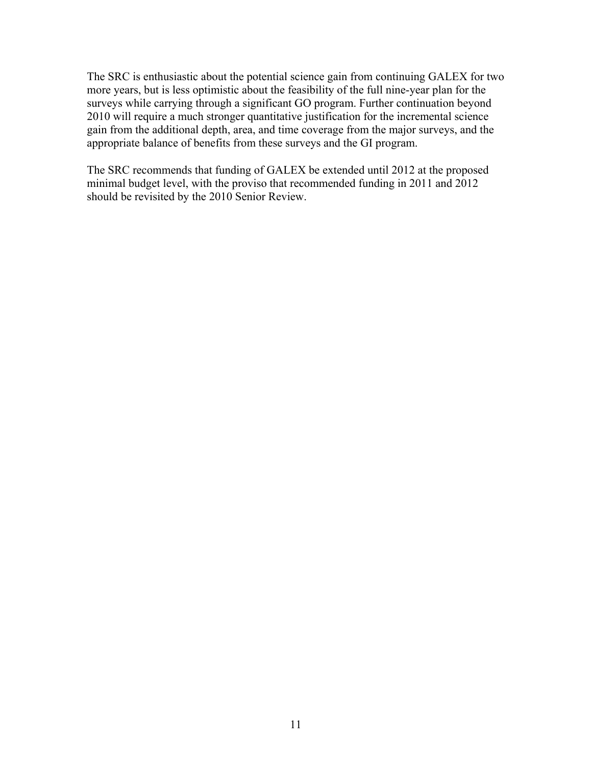The SRC is enthusiastic about the potential science gain from continuing GALEX for two more years, but is less optimistic about the feasibility of the full nine-year plan for the surveys while carrying through a significant GO program. Further continuation beyond 2010 will require a much stronger quantitative justification for the incremental science gain from the additional depth, area, and time coverage from the major surveys, and the appropriate balance of benefits from these surveys and the GI program.

The SRC recommends that funding of GALEX be extended until 2012 at the proposed minimal budget level, with the proviso that recommended funding in 2011 and 2012 should be revisited by the 2010 Senior Review.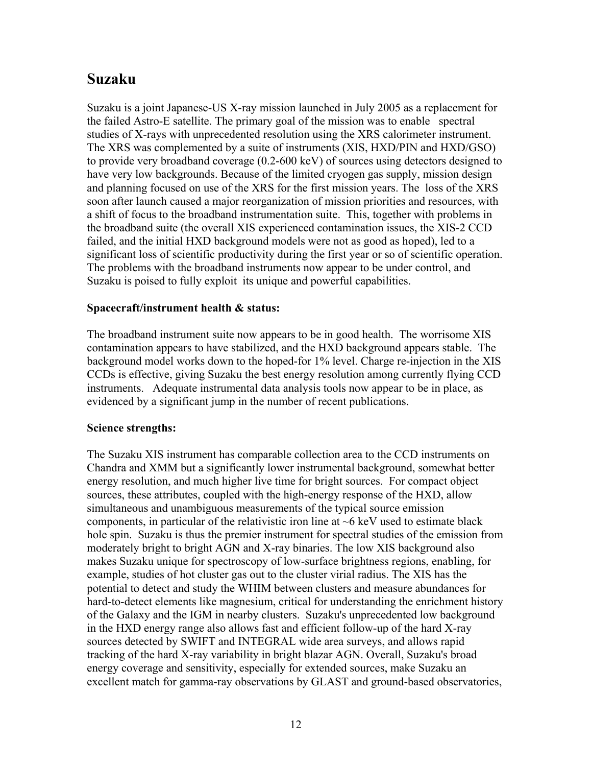# <span id="page-11-0"></span>**Suzaku**

Suzaku is a joint Japanese-US X-ray mission launched in July 2005 as a replacement for the failed Astro-E satellite. The primary goal of the mission was to enable spectral studies of X-rays with unprecedented resolution using the XRS calorimeter instrument. The XRS was complemented by a suite of instruments (XIS, HXD/PIN and HXD/GSO) to provide very broadband coverage (0.2-600 keV) of sources using detectors designed to have very low backgrounds. Because of the limited cryogen gas supply, mission design and planning focused on use of the XRS for the first mission years. The loss of the XRS soon after launch caused a major reorganization of mission priorities and resources, with a shift of focus to the broadband instrumentation suite. This, together with problems in the broadband suite (the overall XIS experienced contamination issues, the XIS-2 CCD failed, and the initial HXD background models were not as good as hoped), led to a significant loss of scientific productivity during the first year or so of scientific operation. The problems with the broadband instruments now appear to be under control, and Suzaku is poised to fully exploit its unique and powerful capabilities.

#### **Spacecraft/instrument health & status:**

The broadband instrument suite now appears to be in good health. The worrisome XIS contamination appears to have stabilized, and the HXD background appears stable. The background model works down to the hoped-for 1% level. Charge re-injection in the XIS CCDs is effective, giving Suzaku the best energy resolution among currently flying CCD instruments. Adequate instrumental data analysis tools now appear to be in place, as evidenced by a significant jump in the number of recent publications.

#### **Science strengths:**

The Suzaku XIS instrument has comparable collection area to the CCD instruments on Chandra and XMM but a significantly lower instrumental background, somewhat better energy resolution, and much higher live time for bright sources. For compact object sources, these attributes, coupled with the high-energy response of the HXD, allow simultaneous and unambiguous measurements of the typical source emission components, in particular of the relativistic iron line at  $~6$  keV used to estimate black hole spin. Suzaku is thus the premier instrument for spectral studies of the emission from moderately bright to bright AGN and X-ray binaries. The low XIS background also makes Suzaku unique for spectroscopy of low-surface brightness regions, enabling, for example, studies of hot cluster gas out to the cluster virial radius. The XIS has the potential to detect and study the WHIM between clusters and measure abundances for hard-to-detect elements like magnesium, critical for understanding the enrichment history of the Galaxy and the IGM in nearby clusters. Suzaku's unprecedented low background in the HXD energy range also allows fast and efficient follow-up of the hard X-ray sources detected by SWIFT and INTEGRAL wide area surveys, and allows rapid tracking of the hard X-ray variability in bright blazar AGN. Overall, Suzaku's broad energy coverage and sensitivity, especially for extended sources, make Suzaku an excellent match for gamma-ray observations by GLAST and ground-based observatories,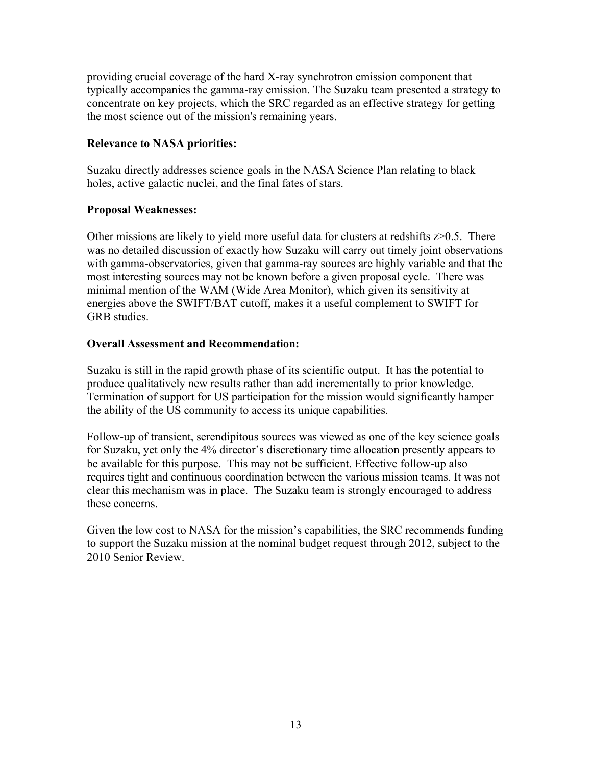providing crucial coverage of the hard X-ray synchrotron emission component that typically accompanies the gamma-ray emission. The Suzaku team presented a strategy to concentrate on key projects, which the SRC regarded as an effective strategy for getting the most science out of the mission's remaining years.

#### **Relevance to NASA priorities:**

Suzaku directly addresses science goals in the NASA Science Plan relating to black holes, active galactic nuclei, and the final fates of stars.

#### **Proposal Weaknesses:**

Other missions are likely to yield more useful data for clusters at redshifts  $z > 0.5$ . There was no detailed discussion of exactly how Suzaku will carry out timely joint observations with gamma-observatories, given that gamma-ray sources are highly variable and that the most interesting sources may not be known before a given proposal cycle. There was minimal mention of the WAM (Wide Area Monitor), which given its sensitivity at energies above the SWIFT/BAT cutoff, makes it a useful complement to SWIFT for GRB studies.

#### **Overall Assessment and Recommendation:**

Suzaku is still in the rapid growth phase of its scientific output. It has the potential to produce qualitatively new results rather than add incrementally to prior knowledge. Termination of support for US participation for the mission would significantly hamper the ability of the US community to access its unique capabilities.

Follow-up of transient, serendipitous sources was viewed as one of the key science goals for Suzaku, yet only the 4% director's discretionary time allocation presently appears to be available for this purpose. This may not be sufficient. Effective follow-up also requires tight and continuous coordination between the various mission teams. It was not clear this mechanism was in place. The Suzaku team is strongly encouraged to address these concerns.

Given the low cost to NASA for the mission's capabilities, the SRC recommends funding to support the Suzaku mission at the nominal budget request through 2012, subject to the 2010 Senior Review.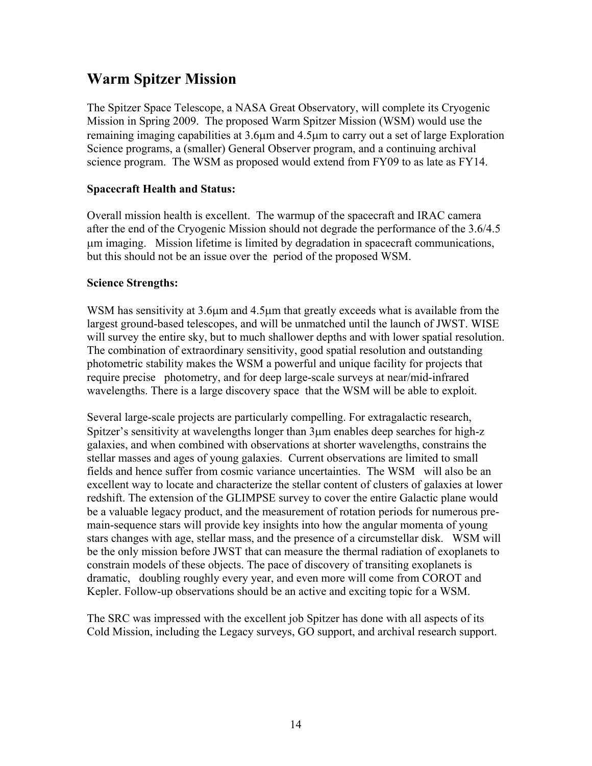# <span id="page-13-0"></span>**Warm Spitzer Mission**

The Spitzer Space Telescope, a NASA Great Observatory, will complete its Cryogenic Mission in Spring 2009. The proposed Warm Spitzer Mission (WSM) would use the remaining imaging capabilities at 3.6µm and 4.5µm to carry out a set of large Exploration Science programs, a (smaller) General Observer program, and a continuing archival science program. The WSM as proposed would extend from FY09 to as late as FY14.

#### **Spacecraft Health and Status:**

Overall mission health is excellent. The warmup of the spacecraft and IRAC camera after the end of the Cryogenic Mission should not degrade the performance of the 3.6/4.5 µm imaging. Mission lifetime is limited by degradation in spacecraft communications, but this should not be an issue over the period of the proposed WSM.

#### **Science Strengths:**

WSM has sensitivity at 3.6 $\mu$ m and 4.5 $\mu$ m that greatly exceeds what is available from the largest ground-based telescopes, and will be unmatched until the launch of JWST. WISE will survey the entire sky, but to much shallower depths and with lower spatial resolution. The combination of extraordinary sensitivity, good spatial resolution and outstanding photometric stability makes the WSM a powerful and unique facility for projects that require precise photometry, and for deep large-scale surveys at near/mid-infrared wavelengths. There is a large discovery space that the WSM will be able to exploit.

Several large-scale projects are particularly compelling. For extragalactic research, Spitzer's sensitivity at wavelengths longer than 3µm enables deep searches for high-z galaxies, and when combined with observations at shorter wavelengths, constrains the stellar masses and ages of young galaxies. Current observations are limited to small fields and hence suffer from cosmic variance uncertainties. The WSM will also be an excellent way to locate and characterize the stellar content of clusters of galaxies at lower redshift. The extension of the GLIMPSE survey to cover the entire Galactic plane would be a valuable legacy product, and the measurement of rotation periods for numerous premain-sequence stars will provide key insights into how the angular momenta of young stars changes with age, stellar mass, and the presence of a circumstellar disk. WSM will be the only mission before JWST that can measure the thermal radiation of exoplanets to constrain models of these objects. The pace of discovery of transiting exoplanets is dramatic, doubling roughly every year, and even more will come from COROT and Kepler. Follow-up observations should be an active and exciting topic for a WSM.

The SRC was impressed with the excellent job Spitzer has done with all aspects of its Cold Mission, including the Legacy surveys, GO support, and archival research support.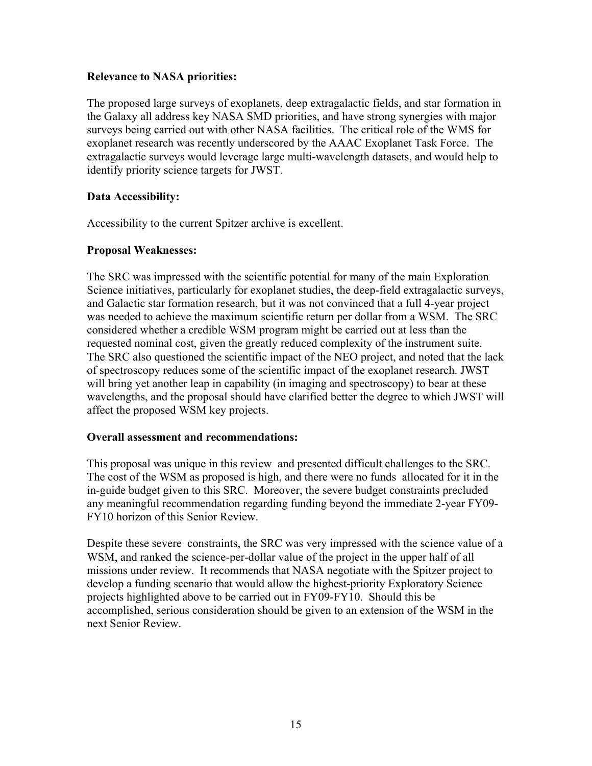#### **Relevance to NASA priorities:**

The proposed large surveys of exoplanets, deep extragalactic fields, and star formation in the Galaxy all address key NASA SMD priorities, and have strong synergies with major surveys being carried out with other NASA facilities. The critical role of the WMS for exoplanet research was recently underscored by the AAAC Exoplanet Task Force. The extragalactic surveys would leverage large multi-wavelength datasets, and would help to identify priority science targets for JWST.

#### **Data Accessibility:**

Accessibility to the current Spitzer archive is excellent.

#### **Proposal Weaknesses:**

requested nominal cost, given the greatly reduced complexity of the instrument suite. The SRC was impressed with the scientific potential for many of the main Exploration Science initiatives, particularly for exoplanet studies, the deep-field extragalactic surveys, and Galactic star formation research, but it was not convinced that a full 4-year project was needed to achieve the maximum scientific return per dollar from a WSM. The SRC considered whether a credible WSM program might be carried out at less than the The SRC also questioned the scientific impact of the NEO project, and noted that the lack of spectroscopy reduces some of the scientific impact of the exoplanet research. JWST will bring yet another leap in capability (in imaging and spectroscopy) to bear at these wavelengths, and the proposal should have clarified better the degree to which JWST will affect the proposed WSM key projects.

#### **Overall assessment and recommendations:**

This proposal was unique in this review and presented difficult challenges to the SRC. The cost of the WSM as proposed is high, and there were no funds allocated for it in the in-guide budget given to this SRC. Moreover, the severe budget constraints precluded any meaningful recommendation regarding funding beyond the immediate 2-year FY09 FY10 horizon of this Senior Review.

Despite these severe constraints, the SRC was very impressed with the science value of a WSM, and ranked the science-per-dollar value of the project in the upper half of all missions under review. It recommends that NASA negotiate with the Spitzer project to develop a funding scenario that would allow the highest-priority Exploratory Science projects highlighted above to be carried out in FY09-FY10. Should this be accomplished, serious consideration should be given to an extension of the WSM in the next Senior Review.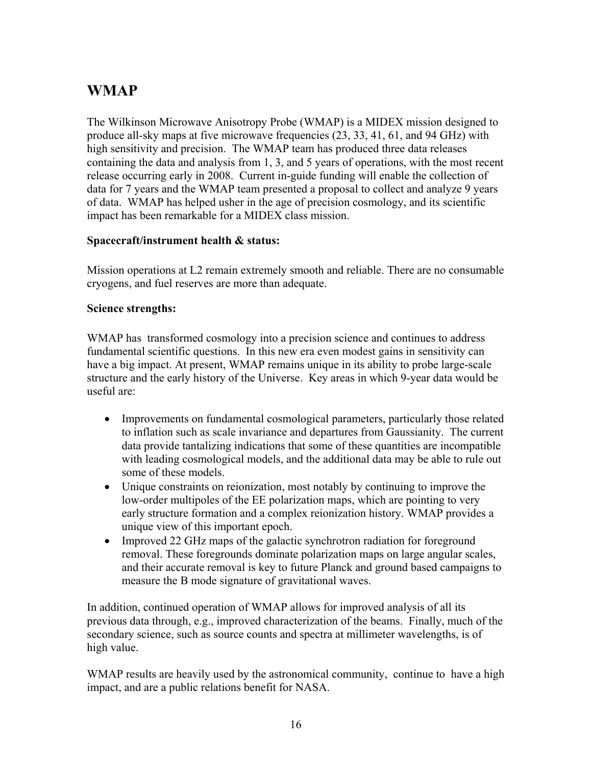# <span id="page-15-0"></span>**WMAP**

The Wilkinson Microwave Anisotropy Probe (WMAP) is a MIDEX mission designed to produce all-sky maps at five microwave frequencies (23, 33, 41, 61, and 94 GHz) with high sensitivity and precision. The WMAP team has produced three data releases containing the data and analysis from 1, 3, and 5 years of operations, with the most recent release occurring early in 2008. Current in-guide funding will enable the collection of data for 7 years and the WMAP team presented a proposal to collect and analyze 9 years of data. WMAP has helped usher in the age of precision cosmology, and its scientific impact has been remarkable for a MIDEX class mission.

### **Spacecraft/instrument health & status:**

Mission operations at L2 remain extremely smooth and reliable. There are no consumable cryogens, and fuel reserves are more than adequate.

#### **Science strengths:**

WMAP has transformed cosmology into a precision science and continues to address fundamental scientific questions. In this new era even modest gains in sensitivity can have a big impact. At present, WMAP remains unique in its ability to probe large-scale structure and the early history of the Universe. Key areas in which 9-year data would be useful are:

- Improvements on fundamental cosmological parameters, particularly those related to inflation such as scale invariance and departures from Gaussianity. The current data provide tantalizing indications that some of these quantities are incompatible with leading cosmological models, and the additional data may be able to rule out some of these models.
- Unique constraints on reionization, most notably by continuing to improve the low-order multipoles of the EE polarization maps, which are pointing to very early structure formation and a complex reionization history. WMAP provides a unique view of this important epoch.
- Improved 22 GHz maps of the galactic synchrotron radiation for foreground removal. These foregrounds dominate polarization maps on large angular scales, and their accurate removal is key to future Planck and ground based campaigns to measure the B mode signature of gravitational waves.

In addition, continued operation of WMAP allows for improved analysis of all its previous data through, e.g., improved characterization of the beams. Finally, much of the secondary science, such as source counts and spectra at millimeter wavelengths, is of high value.

WMAP results are heavily used by the astronomical community, continue to have a high impact, and are a public relations benefit for NASA.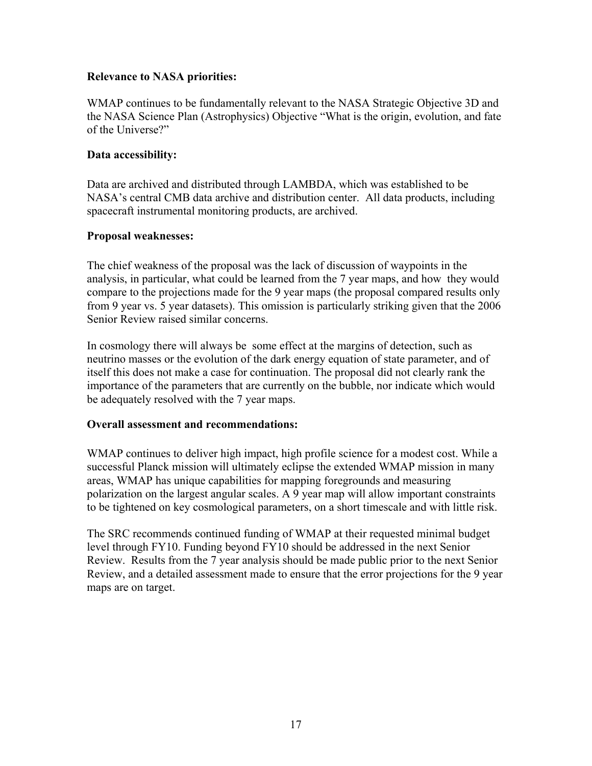#### **Relevance to NASA priorities:**

WMAP continues to be fundamentally relevant to the NASA Strategic Objective 3D and the NASA Science Plan (Astrophysics) Objective "What is the origin, evolution, and fate of the Universe?"

#### **Data accessibility:**

Data are archived and distributed through LAMBDA, which was established to be NASA's central CMB data archive and distribution center. All data products, including spacecraft instrumental monitoring products, are archived.

#### **Proposal weaknesses:**

The chief weakness of the proposal was the lack of discussion of waypoints in the analysis, in particular, what could be learned from the 7 year maps, and how they would compare to the projections made for the 9 year maps (the proposal compared results only from 9 year vs. 5 year datasets). This omission is particularly striking given that the 2006 Senior Review raised similar concerns.

In cosmology there will always be some effect at the margins of detection, such as neutrino masses or the evolution of the dark energy equation of state parameter, and of itself this does not make a case for continuation. The proposal did not clearly rank the importance of the parameters that are currently on the bubble, nor indicate which would be adequately resolved with the 7 year maps.

#### **Overall assessment and recommendations:**

WMAP continues to deliver high impact, high profile science for a modest cost. While a successful Planck mission will ultimately eclipse the extended WMAP mission in many areas, WMAP has unique capabilities for mapping foregrounds and measuring polarization on the largest angular scales. A 9 year map will allow important constraints to be tightened on key cosmological parameters, on a short timescale and with little risk.

The SRC recommends continued funding of WMAP at their requested minimal budget level through FY10. Funding beyond FY10 should be addressed in the next Senior Review. Results from the 7 year analysis should be made public prior to the next Senior Review, and a detailed assessment made to ensure that the error projections for the 9 year maps are on target.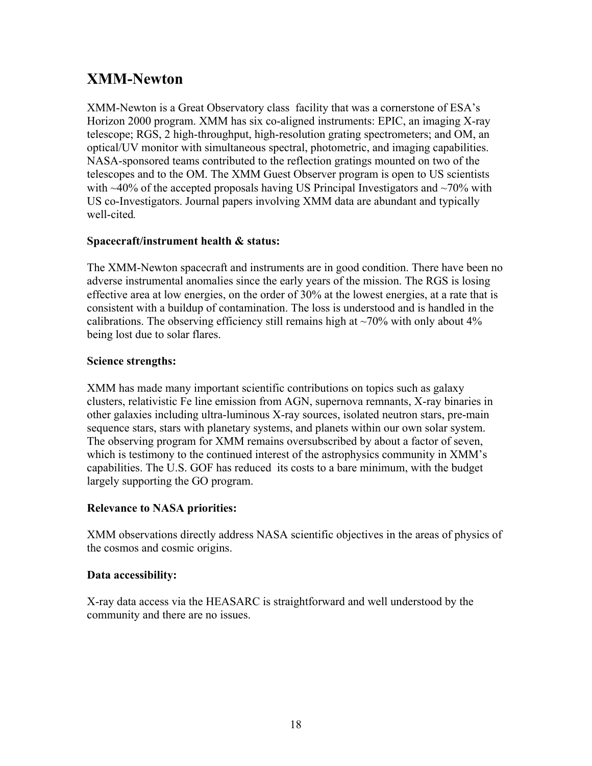# <span id="page-17-0"></span>**XMM-Newton**

XMM-Newton is a Great Observatory class facility that was a cornerstone of ESA's Horizon 2000 program. XMM has six co-aligned instruments: EPIC, an imaging X-ray telescope; RGS, 2 high-throughput, high-resolution grating spectrometers; and OM, an optical/UV monitor with simultaneous spectral, photometric, and imaging capabilities. NASA-sponsored teams contributed to the reflection gratings mounted on two of the telescopes and to the OM. The XMM Guest Observer program is open to US scientists with  $\sim$ 40% of the accepted proposals having US Principal Investigators and  $\sim$ 70% with US co-Investigators. Journal papers involving XMM data are abundant and typically well-cited*.* 

### **Spacecraft/instrument health & status:**

The XMM-Newton spacecraft and instruments are in good condition. There have been no adverse instrumental anomalies since the early years of the mission. The RGS is losing effective area at low energies, on the order of 30% at the lowest energies, at a rate that is consistent with a buildup of contamination. The loss is understood and is handled in the calibrations. The observing efficiency still remains high at  $\sim$ 70% with only about 4% being lost due to solar flares.

### **Science strengths:**

XMM has made many important scientific contributions on topics such as galaxy clusters, relativistic Fe line emission from AGN, supernova remnants, X-ray binaries in other galaxies including ultra-luminous X-ray sources, isolated neutron stars, pre-main sequence stars, stars with planetary systems, and planets within our own solar system. The observing program for XMM remains oversubscribed by about a factor of seven, which is testimony to the continued interest of the astrophysics community in XMM's capabilities. The U.S. GOF has reduced its costs to a bare minimum, with the budget largely supporting the GO program.

#### **Relevance to NASA priorities:**

XMM observations directly address NASA scientific objectives in the areas of physics of the cosmos and cosmic origins.

#### **Data accessibility:**

X-ray data access via the HEASARC is straightforward and well understood by the community and there are no issues.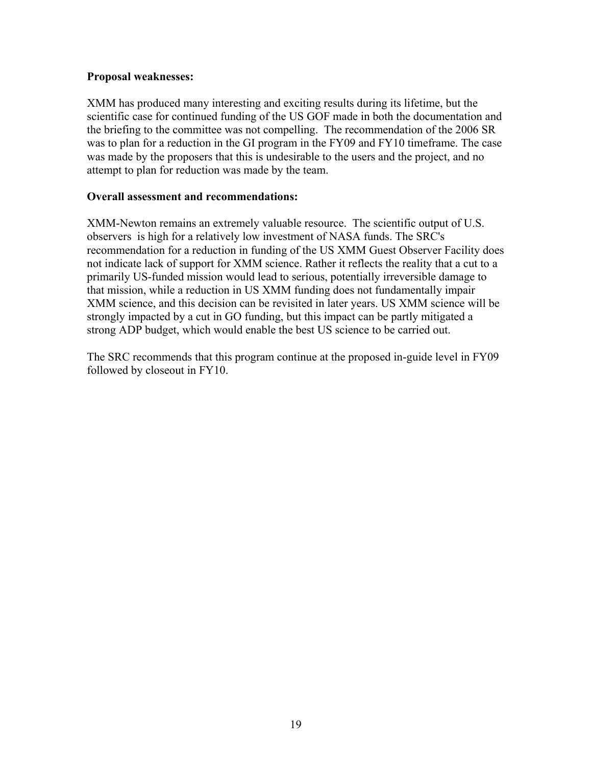#### **Proposal weaknesses:**

XMM has produced many interesting and exciting results during its lifetime, but the scientific case for continued funding of the US GOF made in both the documentation and the briefing to the committee was not compelling. The recommendation of the 2006 SR was to plan for a reduction in the GI program in the FY09 and FY10 timeframe. The case was made by the proposers that this is undesirable to the users and the project, and no attempt to plan for reduction was made by the team.

#### **Overall assessment and recommendations:**

XMM-Newton remains an extremely valuable resource. The scientific output of U.S. observers is high for a relatively low investment of NASA funds. The SRC's recommendation for a reduction in funding of the US XMM Guest Observer Facility does not indicate lack of support for XMM science. Rather it reflects the reality that a cut to a primarily US-funded mission would lead to serious, potentially irreversible damage to that mission, while a reduction in US XMM funding does not fundamentally impair XMM science, and this decision can be revisited in later years. US XMM science will be strongly impacted by a cut in GO funding, but this impact can be partly mitigated a strong ADP budget, which would enable the best US science to be carried out.

The SRC recommends that this program continue at the proposed in-guide level in FY09 followed by closeout in FY10.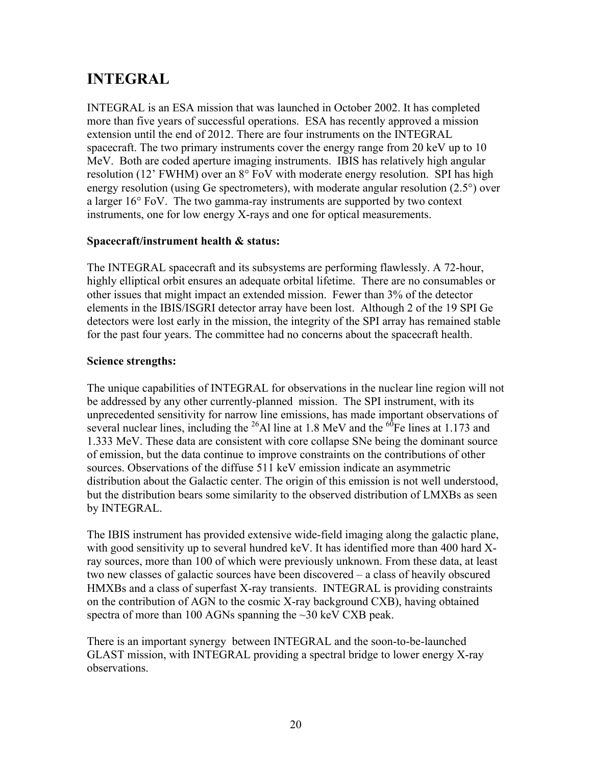# <span id="page-19-0"></span>**INTEGRAL**

INTEGRAL is an ESA mission that was launched in October 2002. It has completed more than five years of successful operations. ESA has recently approved a mission extension until the end of 2012. There are four instruments on the INTEGRAL spacecraft. The two primary instruments cover the energy range from 20 keV up to 10 MeV. Both are coded aperture imaging instruments. IBIS has relatively high angular resolution (12' FWHM) over an 8° FoV with moderate energy resolution. SPI has high energy resolution (using Ge spectrometers), with moderate angular resolution (2.5°) over a larger 16° FoV. The two gamma-ray instruments are supported by two context instruments, one for low energy X-rays and one for optical measurements.

### **Spacecraft/instrument health & status:**

The INTEGRAL spacecraft and its subsystems are performing flawlessly. A 72-hour, highly elliptical orbit ensures an adequate orbital lifetime. There are no consumables or other issues that might impact an extended mission. Fewer than 3% of the detector elements in the IBIS/ISGRI detector array have been lost. Although 2 of the 19 SPI Ge detectors were lost early in the mission, the integrity of the SPI array has remained stable for the past four years. The committee had no concerns about the spacecraft health.

### **Science strengths:**

The unique capabilities of INTEGRAL for observations in the nuclear line region will not be addressed by any other currently-planned mission. The SPI instrument, with its unprecedented sensitivity for narrow line emissions, has made important observations of several nuclear lines, including the <sup>26</sup>Al line at 1.8 MeV and the <sup>60</sup>Fe lines at 1.173 and 1.333 MeV. These data are consistent with core collapse SNe being the dominant source of emission, but the data continue to improve constraints on the contributions of other sources. Observations of the diffuse 511 keV emission indicate an asymmetric distribution about the Galactic center. The origin of this emission is not well understood, but the distribution bears some similarity to the observed distribution of LMXBs as seen by INTEGRAL.

The IBIS instrument has provided extensive wide-field imaging along the galactic plane, with good sensitivity up to several hundred keV. It has identified more than 400 hard Xray sources, more than 100 of which were previously unknown. From these data, at least two new classes of galactic sources have been discovered – a class of heavily obscured HMXBs and a class of superfast X-ray transients. INTEGRAL is providing constraints on the contribution of AGN to the cosmic X-ray background CXB), having obtained spectra of more than 100 AGNs spanning the ~30 keV CXB peak.

There is an important synergy between INTEGRAL and the soon-to-be-launched GLAST mission, with INTEGRAL providing a spectral bridge to lower energy X-ray observations.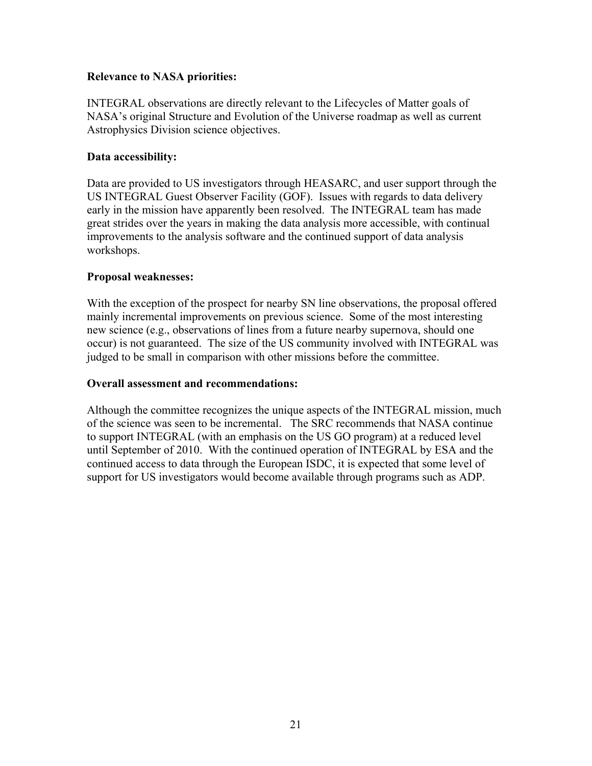#### **Relevance to NASA priorities:**

INTEGRAL observations are directly relevant to the Lifecycles of Matter goals of NASA's original Structure and Evolution of the Universe roadmap as well as current Astrophysics Division science objectives.

#### **Data accessibility:**

Data are provided to US investigators through HEASARC, and user support through the US INTEGRAL Guest Observer Facility (GOF). Issues with regards to data delivery early in the mission have apparently been resolved. The INTEGRAL team has made great strides over the years in making the data analysis more accessible, with continual improvements to the analysis software and the continued support of data analysis workshops.

#### **Proposal weaknesses:**

With the exception of the prospect for nearby SN line observations, the proposal offered mainly incremental improvements on previous science. Some of the most interesting new science (e.g., observations of lines from a future nearby supernova, should one occur) is not guaranteed. The size of the US community involved with INTEGRAL was judged to be small in comparison with other missions before the committee.

#### **Overall assessment and recommendations:**

Although the committee recognizes the unique aspects of the INTEGRAL mission, much of the science was seen to be incremental. The SRC recommends that NASA continue to support INTEGRAL (with an emphasis on the US GO program) at a reduced level until September of 2010. With the continued operation of INTEGRAL by ESA and the continued access to data through the European ISDC, it is expected that some level of support for US investigators would become available through programs such as ADP.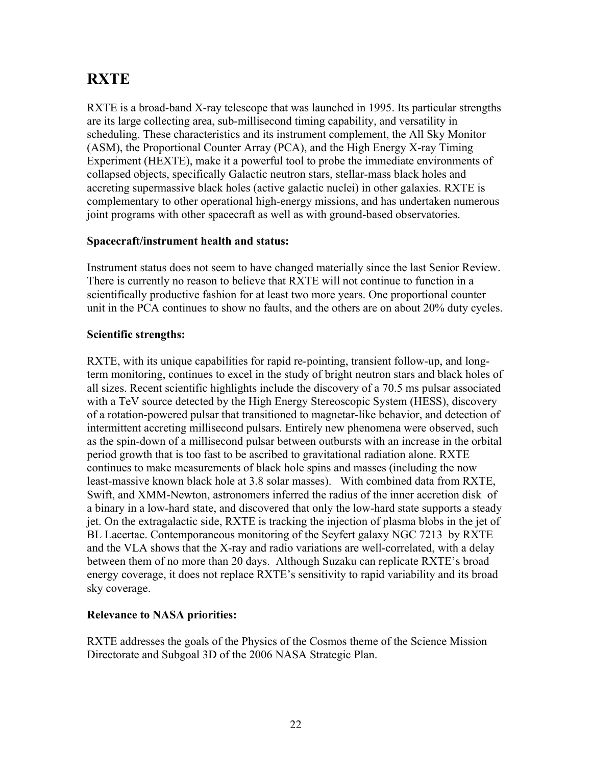# <span id="page-21-0"></span>**RXTE**

RXTE is a broad-band X-ray telescope that was launched in 1995. Its particular strengths are its large collecting area, sub-millisecond timing capability, and versatility in scheduling. These characteristics and its instrument complement, the All Sky Monitor (ASM), the Proportional Counter Array (PCA), and the High Energy X-ray Timing Experiment (HEXTE), make it a powerful tool to probe the immediate environments of collapsed objects, specifically Galactic neutron stars, stellar-mass black holes and accreting supermassive black holes (active galactic nuclei) in other galaxies. RXTE is complementary to other operational high-energy missions, and has undertaken numerous joint programs with other spacecraft as well as with ground-based observatories.

#### **Spacecraft/instrument health and status:**

Instrument status does not seem to have changed materially since the last Senior Review. There is currently no reason to believe that RXTE will not continue to function in a scientifically productive fashion for at least two more years. One proportional counter unit in the PCA continues to show no faults, and the others are on about 20% duty cycles.

#### **Scientific strengths:**

RXTE, with its unique capabilities for rapid re-pointing, transient follow-up, and longterm monitoring, continues to excel in the study of bright neutron stars and black holes of all sizes. Recent scientific highlights include the discovery of a 70.5 ms pulsar associated with a TeV source detected by the High Energy Stereoscopic System (HESS), discovery of a rotation-powered pulsar that transitioned to magnetar-like behavior, and detection of intermittent accreting millisecond pulsars. Entirely new phenomena were observed, such as the spin-down of a millisecond pulsar between outbursts with an increase in the orbital period growth that is too fast to be ascribed to gravitational radiation alone. RXTE continues to make measurements of black hole spins and masses (including the now least-massive known black hole at 3.8 solar masses). With combined data from RXTE, Swift, and XMM-Newton, astronomers inferred the radius of the inner accretion disk of a binary in a low-hard state, and discovered that only the low-hard state supports a steady jet. On the extragalactic side, RXTE is tracking the injection of plasma blobs in the jet of BL Lacertae. Contemporaneous monitoring of the Seyfert galaxy NGC 7213 by RXTE and the VLA shows that the X-ray and radio variations are well-correlated, with a delay between them of no more than 20 days. Although Suzaku can replicate RXTE's broad energy coverage, it does not replace RXTE's sensitivity to rapid variability and its broad sky coverage.

#### **Relevance to NASA priorities:**

RXTE addresses the goals of the Physics of the Cosmos theme of the Science Mission Directorate and Subgoal 3D of the 2006 NASA Strategic Plan.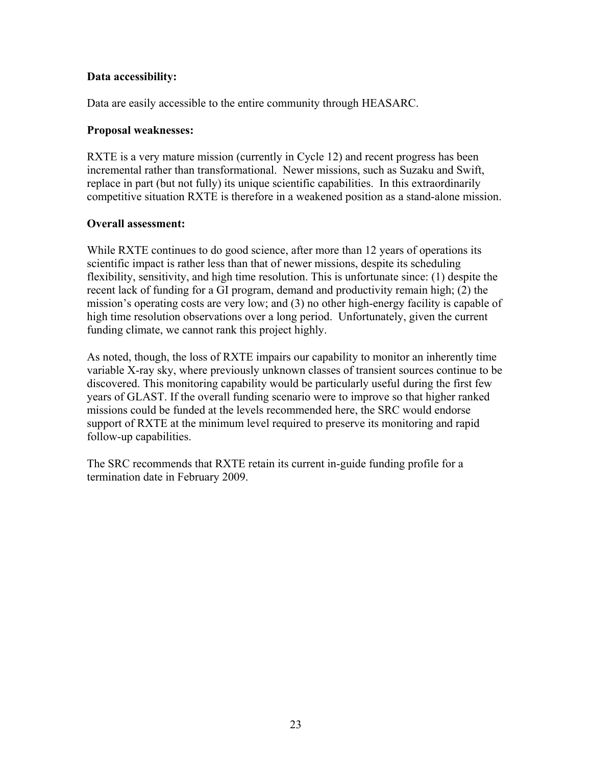#### **Data accessibility:**

Data are easily accessible to the entire community through HEASARC.

#### **Proposal weaknesses:**

RXTE is a very mature mission (currently in Cycle 12) and recent progress has been incremental rather than transformational. Newer missions, such as Suzaku and Swift, replace in part (but not fully) its unique scientific capabilities. In this extraordinarily competitive situation RXTE is therefore in a weakened position as a stand-alone mission.

### **Overall assessment:**

While RXTE continues to do good science, after more than 12 years of operations its scientific impact is rather less than that of newer missions, despite its scheduling flexibility, sensitivity, and high time resolution. This is unfortunate since: (1) despite the recent lack of funding for a GI program, demand and productivity remain high; (2) the mission's operating costs are very low; and (3) no other high-energy facility is capable of high time resolution observations over a long period. Unfortunately, given the current funding climate, we cannot rank this project highly.

As noted, though, the loss of RXTE impairs our capability to monitor an inherently time variable X-ray sky, where previously unknown classes of transient sources continue to be discovered. This monitoring capability would be particularly useful during the first few years of GLAST. If the overall funding scenario were to improve so that higher ranked missions could be funded at the levels recommended here, the SRC would endorse support of RXTE at the minimum level required to preserve its monitoring and rapid follow-up capabilities.

The SRC recommends that RXTE retain its current in-guide funding profile for a termination date in February 2009.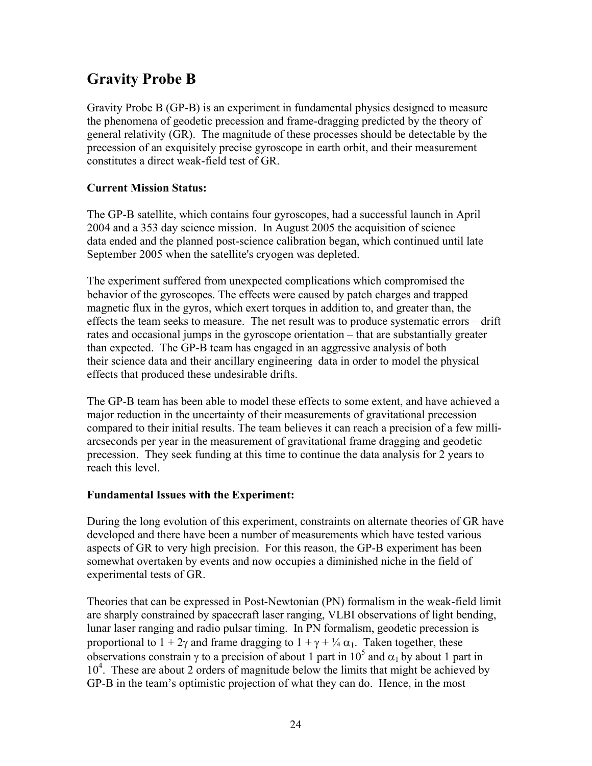# <span id="page-23-0"></span>**Gravity Probe B**

Gravity Probe B (GP-B) is an experiment in fundamental physics designed to measure the phenomena of geodetic precession and frame-dragging predicted by the theory of general relativity (GR). The magnitude of these processes should be detectable by the precession of an exquisitely precise gyroscope in earth orbit, and their measurement constitutes a direct weak-field test of GR.

## **Current Mission Status:**

The GP-B satellite, which contains four gyroscopes, had a successful launch in April 2004 and a 353 day science mission. In August 2005 the acquisition of science data ended and the planned post-science calibration began, which continued until late September 2005 when the satellite's cryogen was depleted.

The experiment suffered from unexpected complications which compromised the behavior of the gyroscopes. The effects were caused by patch charges and trapped magnetic flux in the gyros, which exert torques in addition to, and greater than, the effects the team seeks to measure. The net result was to produce systematic errors – drift rates and occasional jumps in the gyroscope orientation – that are substantially greater than expected. The GP-B team has engaged in an aggressive analysis of both their science data and their ancillary engineering data in order to model the physical effects that produced these undesirable drifts.

The GP-B team has been able to model these effects to some extent, and have achieved a major reduction in the uncertainty of their measurements of gravitational precession compared to their initial results. The team believes it can reach a precision of a few milliarcseconds per year in the measurement of gravitational frame dragging and geodetic precession. They seek funding at this time to continue the data analysis for 2 years to reach this level.

#### **Fundamental Issues with the Experiment:**

During the long evolution of this experiment, constraints on alternate theories of GR have developed and there have been a number of measurements which have tested various aspects of GR to very high precision. For this reason, the GP-B experiment has been somewhat overtaken by events and now occupies a diminished niche in the field of experimental tests of GR.

Theories that can be expressed in Post-Newtonian (PN) formalism in the weak-field limit are sharply constrained by spacecraft laser ranging, VLBI observations of light bending, lunar laser ranging and radio pulsar timing. In PN formalism, geodetic precession is proportional to  $1 + 2\gamma$  and frame dragging to  $1 + \gamma + \frac{1}{4} \alpha_1$ . Taken together, these observations constrain  $\gamma$  to a precision of about 1 part in 10<sup>5</sup> and  $\alpha_1$  by about 1 part in 10<sup>4</sup>. These are about 2 orders of magnitude below the limits that might be achieved by GP-B in the team's optimistic projection of what they can do. Hence, in the most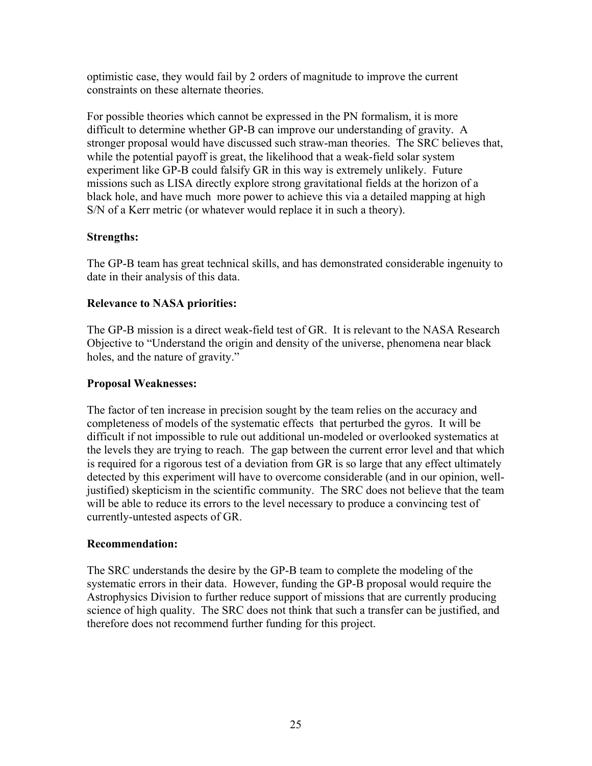optimistic case, they would fail by 2 orders of magnitude to improve the current constraints on these alternate theories.

For possible theories which cannot be expressed in the PN formalism, it is more difficult to determine whether GP-B can improve our understanding of gravity. A stronger proposal would have discussed such straw-man theories. The SRC believes that, while the potential payoff is great, the likelihood that a weak-field solar system experiment like GP-B could falsify GR in this way is extremely unlikely. Future missions such as LISA directly explore strong gravitational fields at the horizon of a black hole, and have much more power to achieve this via a detailed mapping at high S/N of a Kerr metric (or whatever would replace it in such a theory).

#### **Strengths:**

The GP-B team has great technical skills, and has demonstrated considerable ingenuity to date in their analysis of this data.

#### **Relevance to NASA priorities:**

The GP-B mission is a direct weak-field test of GR. It is relevant to the NASA Research Objective to "Understand the origin and density of the universe, phenomena near black holes, and the nature of gravity."

#### **Proposal Weaknesses:**

The factor of ten increase in precision sought by the team relies on the accuracy and completeness of models of the systematic effects that perturbed the gyros. It will be difficult if not impossible to rule out additional un-modeled or overlooked systematics at the levels they are trying to reach. The gap between the current error level and that which is required for a rigorous test of a deviation from GR is so large that any effect ultimately detected by this experiment will have to overcome considerable (and in our opinion, welljustified) skepticism in the scientific community. The SRC does not believe that the team will be able to reduce its errors to the level necessary to produce a convincing test of currently-untested aspects of GR.

#### **Recommendation:**

The SRC understands the desire by the GP-B team to complete the modeling of the systematic errors in their data. However, funding the GP-B proposal would require the Astrophysics Division to further reduce support of missions that are currently producing science of high quality. The SRC does not think that such a transfer can be justified, and therefore does not recommend further funding for this project.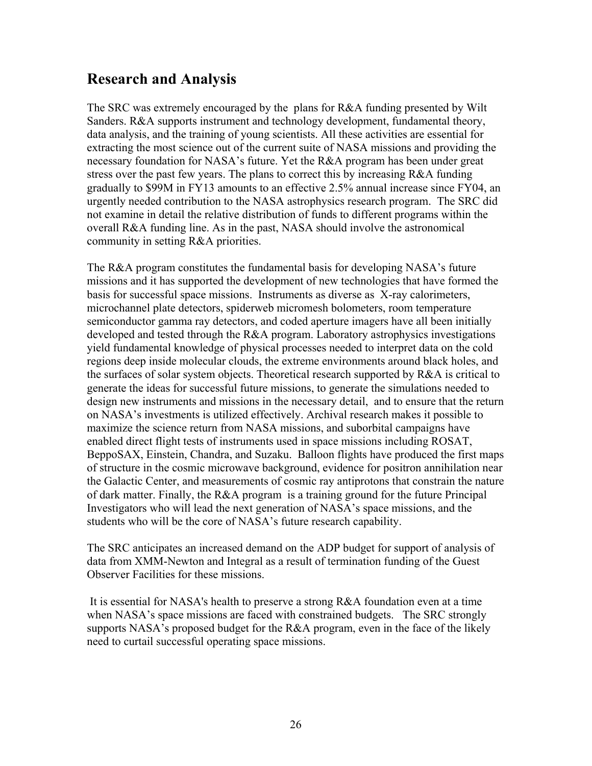## <span id="page-25-0"></span>**Research and Analysis**

The SRC was extremely encouraged by the plans for R&A funding presented by Wilt Sanders. R&A supports instrument and technology development, fundamental theory, data analysis, and the training of young scientists. All these activities are essential for extracting the most science out of the current suite of NASA missions and providing the necessary foundation for NASA's future. Yet the R&A program has been under great stress over the past few years. The plans to correct this by increasing R&A funding gradually to \$99M in FY13 amounts to an effective 2.5% annual increase since FY04, an urgently needed contribution to the NASA astrophysics research program. The SRC did not examine in detail the relative distribution of funds to different programs within the overall R&A funding line. As in the past, NASA should involve the astronomical community in setting R&A priorities.

The R&A program constitutes the fundamental basis for developing NASA's future missions and it has supported the development of new technologies that have formed the basis for successful space missions. Instruments as diverse as X-ray calorimeters, microchannel plate detectors, spiderweb micromesh bolometers, room temperature semiconductor gamma ray detectors, and coded aperture imagers have all been initially developed and tested through the R&A program. Laboratory astrophysics investigations yield fundamental knowledge of physical processes needed to interpret data on the cold regions deep inside molecular clouds, the extreme environments around black holes, and the surfaces of solar system objects. Theoretical research supported by  $R\&A$  is critical to generate the ideas for successful future missions, to generate the simulations needed to design new instruments and missions in the necessary detail, and to ensure that the return on NASA's investments is utilized effectively. Archival research makes it possible to maximize the science return from NASA missions, and suborbital campaigns have enabled direct flight tests of instruments used in space missions including ROSAT, BeppoSAX, Einstein, Chandra, and Suzaku. Balloon flights have produced the first maps of structure in the cosmic microwave background, evidence for positron annihilation near the Galactic Center, and measurements of cosmic ray antiprotons that constrain the nature of dark matter. Finally, the R&A program is a training ground for the future Principal Investigators who will lead the next generation of NASA's space missions, and the students who will be the core of NASA's future research capability.

The SRC anticipates an increased demand on the ADP budget for support of analysis of data from XMM-Newton and Integral as a result of termination funding of the Guest Observer Facilities for these missions.

 It is essential for NASA's health to preserve a strong R&A foundation even at a time when NASA's space missions are faced with constrained budgets. The SRC strongly supports NASA's proposed budget for the R&A program, even in the face of the likely need to curtail successful operating space missions.